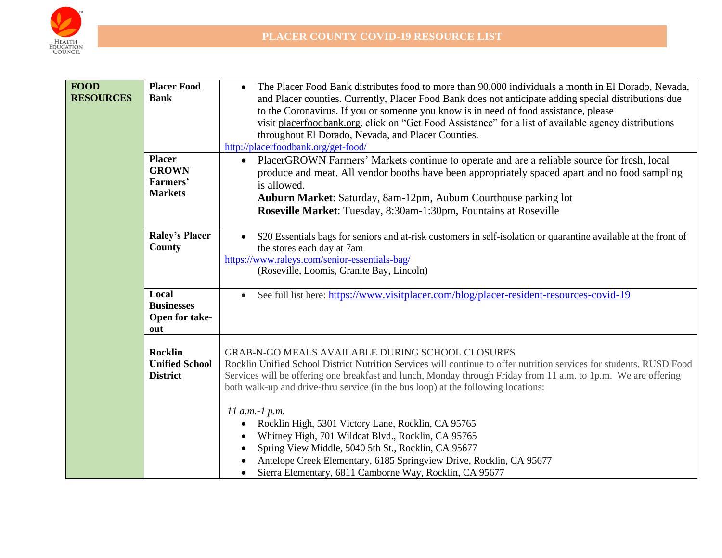

| <b>FOOD</b><br><b>RESOURCES</b> | <b>Placer Food</b><br><b>Bank</b><br><b>Placer</b>         | The Placer Food Bank distributes food to more than 90,000 individuals a month in El Dorado, Nevada,<br>$\bullet$<br>and Placer counties. Currently, Placer Food Bank does not anticipate adding special distributions due<br>to the Coronavirus. If you or someone you know is in need of food assistance, please<br>visit placerfoodbank.org, click on "Get Food Assistance" for a list of available agency distributions<br>throughout El Dorado, Nevada, and Placer Counties.<br>http://placerfoodbank.org/get-food/<br>PlacerGROWN Farmers' Markets continue to operate and are a reliable source for fresh, local                                                                                        |
|---------------------------------|------------------------------------------------------------|---------------------------------------------------------------------------------------------------------------------------------------------------------------------------------------------------------------------------------------------------------------------------------------------------------------------------------------------------------------------------------------------------------------------------------------------------------------------------------------------------------------------------------------------------------------------------------------------------------------------------------------------------------------------------------------------------------------|
|                                 | <b>GROWN</b><br>Farmers'<br><b>Markets</b>                 | produce and meat. All vendor booths have been appropriately spaced apart and no food sampling<br>is allowed.<br>Auburn Market: Saturday, 8am-12pm, Auburn Courthouse parking lot<br>Roseville Market: Tuesday, 8:30am-1:30pm, Fountains at Roseville                                                                                                                                                                                                                                                                                                                                                                                                                                                          |
|                                 | <b>Raley's Placer</b><br>County                            | \$20 Essentials bags for seniors and at-risk customers in self-isolation or quarantine available at the front of<br>$\bullet$<br>the stores each day at 7am<br>https://www.raleys.com/senior-essentials-bag/<br>(Roseville, Loomis, Granite Bay, Lincoln)                                                                                                                                                                                                                                                                                                                                                                                                                                                     |
|                                 | Local<br><b>Businesses</b><br>Open for take-<br>out        | See full list here: https://www.visitplacer.com/blog/placer-resident-resources-covid-19<br>$\bullet$                                                                                                                                                                                                                                                                                                                                                                                                                                                                                                                                                                                                          |
|                                 | <b>Rocklin</b><br><b>Unified School</b><br><b>District</b> | GRAB-N-GO MEALS AVAILABLE DURING SCHOOL CLOSURES<br>Rocklin Unified School District Nutrition Services will continue to offer nutrition services for students. RUSD Food<br>Services will be offering one breakfast and lunch, Monday through Friday from 11 a.m. to 1p.m. We are offering<br>both walk-up and drive-thru service (in the bus loop) at the following locations:<br>$11$ a.m.-1 p.m.<br>Rocklin High, 5301 Victory Lane, Rocklin, CA 95765<br>٠<br>Whitney High, 701 Wildcat Blvd., Rocklin, CA 95765<br>Spring View Middle, 5040 5th St., Rocklin, CA 95677<br>Antelope Creek Elementary, 6185 Springview Drive, Rocklin, CA 95677<br>Sierra Elementary, 6811 Camborne Way, Rocklin, CA 95677 |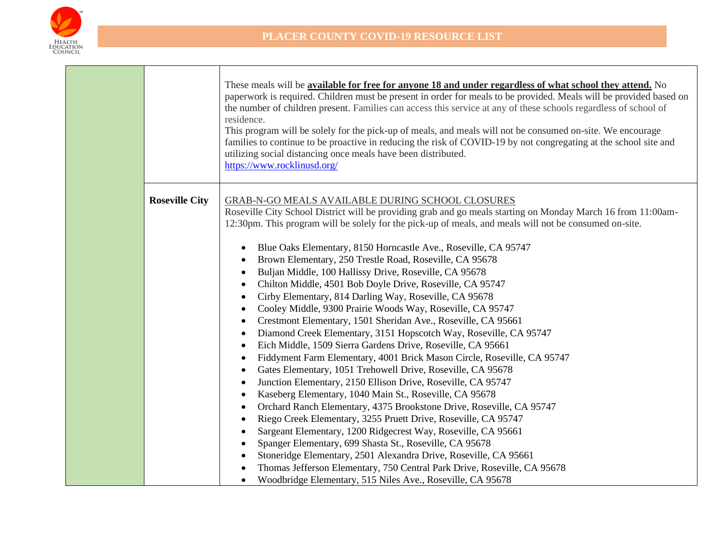

|                       | These meals will be available for free for anyone 18 and under regardless of what school they attend. No<br>paperwork is required. Children must be present in order for meals to be provided. Meals will be provided based on<br>the number of children present. Families can access this service at any of these schools regardless of school of<br>residence.<br>This program will be solely for the pick-up of meals, and meals will not be consumed on-site. We encourage<br>families to continue to be proactive in reducing the risk of COVID-19 by not congregating at the school site and<br>utilizing social distancing once meals have been distributed.<br>https://www.rocklinusd.org/                                                                                                                                                                                                                                                                                                                                                                                                                                                                                                                                                                                                                                                                                                                                                                                                                                                                                                                                                                                                                   |
|-----------------------|----------------------------------------------------------------------------------------------------------------------------------------------------------------------------------------------------------------------------------------------------------------------------------------------------------------------------------------------------------------------------------------------------------------------------------------------------------------------------------------------------------------------------------------------------------------------------------------------------------------------------------------------------------------------------------------------------------------------------------------------------------------------------------------------------------------------------------------------------------------------------------------------------------------------------------------------------------------------------------------------------------------------------------------------------------------------------------------------------------------------------------------------------------------------------------------------------------------------------------------------------------------------------------------------------------------------------------------------------------------------------------------------------------------------------------------------------------------------------------------------------------------------------------------------------------------------------------------------------------------------------------------------------------------------------------------------------------------------|
| <b>Roseville City</b> | <b>GRAB-N-GO MEALS AVAILABLE DURING SCHOOL CLOSURES</b><br>Roseville City School District will be providing grab and go meals starting on Monday March 16 from 11:00am-<br>12:30pm. This program will be solely for the pick-up of meals, and meals will not be consumed on-site.<br>Blue Oaks Elementary, 8150 Horncastle Ave., Roseville, CA 95747<br>$\bullet$<br>Brown Elementary, 250 Trestle Road, Roseville, CA 95678<br>$\bullet$<br>Buljan Middle, 100 Hallissy Drive, Roseville, CA 95678<br>$\bullet$<br>Chilton Middle, 4501 Bob Doyle Drive, Roseville, CA 95747<br>$\bullet$<br>Cirby Elementary, 814 Darling Way, Roseville, CA 95678<br>$\bullet$<br>Cooley Middle, 9300 Prairie Woods Way, Roseville, CA 95747<br>$\bullet$<br>Crestmont Elementary, 1501 Sheridan Ave., Roseville, CA 95661<br>٠<br>Diamond Creek Elementary, 3151 Hopscotch Way, Roseville, CA 95747<br>$\bullet$<br>Eich Middle, 1509 Sierra Gardens Drive, Roseville, CA 95661<br>$\bullet$<br>Fiddyment Farm Elementary, 4001 Brick Mason Circle, Roseville, CA 95747<br>$\bullet$<br>Gates Elementary, 1051 Trehowell Drive, Roseville, CA 95678<br>$\bullet$<br>Junction Elementary, 2150 Ellison Drive, Roseville, CA 95747<br>$\bullet$<br>Kaseberg Elementary, 1040 Main St., Roseville, CA 95678<br>$\bullet$<br>Orchard Ranch Elementary, 4375 Brookstone Drive, Roseville, CA 95747<br>$\bullet$<br>Riego Creek Elementary, 3255 Pruett Drive, Roseville, CA 95747<br>$\bullet$<br>Sargeant Elementary, 1200 Ridgecrest Way, Roseville, CA 95661<br>$\bullet$<br>Spanger Elementary, 699 Shasta St., Roseville, CA 95678<br>$\bullet$<br>Stoneridge Elementary, 2501 Alexandra Drive, Roseville, CA 95661<br>$\bullet$ |
|                       | Thomas Jefferson Elementary, 750 Central Park Drive, Roseville, CA 95678<br>Woodbridge Elementary, 515 Niles Ave., Roseville, CA 95678<br>$\bullet$                                                                                                                                                                                                                                                                                                                                                                                                                                                                                                                                                                                                                                                                                                                                                                                                                                                                                                                                                                                                                                                                                                                                                                                                                                                                                                                                                                                                                                                                                                                                                                  |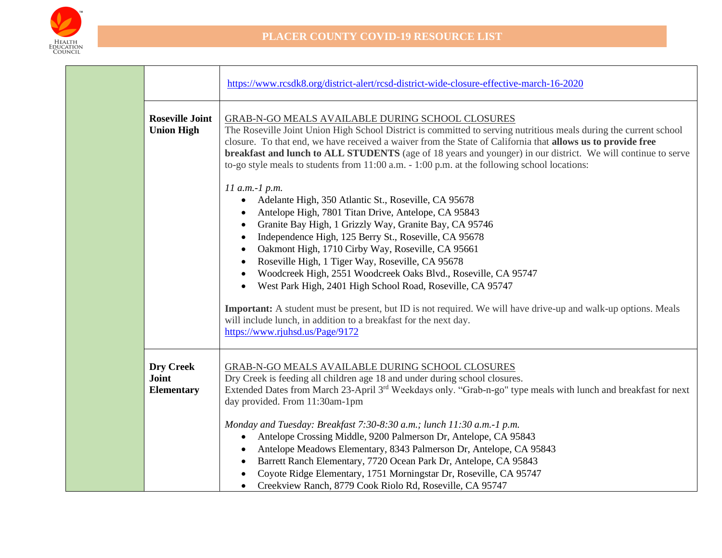

|                                                | https://www.rcsdk8.org/district-alert/rcsd-district-wide-closure-effective-march-16-2020                                                                                                                                                                                                                                                                                                                                                                                                                                                                                  |
|------------------------------------------------|---------------------------------------------------------------------------------------------------------------------------------------------------------------------------------------------------------------------------------------------------------------------------------------------------------------------------------------------------------------------------------------------------------------------------------------------------------------------------------------------------------------------------------------------------------------------------|
| <b>Roseville Joint</b><br><b>Union High</b>    | <b>GRAB-N-GO MEALS AVAILABLE DURING SCHOOL CLOSURES</b><br>The Roseville Joint Union High School District is committed to serving nutritious meals during the current school<br>closure. To that end, we have received a waiver from the State of California that allows us to provide free<br><b>breakfast and lunch to ALL STUDENTS</b> (age of 18 years and younger) in our district. We will continue to serve<br>to-go style meals to students from $11:00$ a.m. $-1:00$ p.m. at the following school locations:                                                     |
|                                                | $11$ a.m.-1 p.m.<br>Adelante High, 350 Atlantic St., Roseville, CA 95678<br>$\bullet$<br>Antelope High, 7801 Titan Drive, Antelope, CA 95843<br>Granite Bay High, 1 Grizzly Way, Granite Bay, CA 95746<br>$\bullet$<br>Independence High, 125 Berry St., Roseville, CA 95678<br>Oakmont High, 1710 Cirby Way, Roseville, CA 95661<br>$\bullet$<br>Roseville High, 1 Tiger Way, Roseville, CA 95678<br>$\bullet$<br>Woodcreek High, 2551 Woodcreek Oaks Blvd., Roseville, CA 95747<br>$\bullet$<br>West Park High, 2401 High School Road, Roseville, CA 95747<br>$\bullet$ |
|                                                | <b>Important:</b> A student must be present, but ID is not required. We will have drive-up and walk-up options. Meals<br>will include lunch, in addition to a breakfast for the next day.<br>https://www.rjuhsd.us/Page/9172                                                                                                                                                                                                                                                                                                                                              |
| <b>Dry Creek</b><br>Joint<br><b>Elementary</b> | <b>GRAB-N-GO MEALS AVAILABLE DURING SCHOOL CLOSURES</b><br>Dry Creek is feeding all children age 18 and under during school closures.<br>Extended Dates from March 23-April 3rd Weekdays only. "Grab-n-go" type meals with lunch and breakfast for next<br>day provided. From 11:30am-1pm                                                                                                                                                                                                                                                                                 |
|                                                | Monday and Tuesday: Breakfast 7:30-8:30 a.m.; lunch 11:30 a.m.-1 p.m.<br>Antelope Crossing Middle, 9200 Palmerson Dr, Antelope, CA 95843<br>$\bullet$<br>Antelope Meadows Elementary, 8343 Palmerson Dr, Antelope, CA 95843<br>Barrett Ranch Elementary, 7720 Ocean Park Dr, Antelope, CA 95843<br>$\bullet$<br>Coyote Ridge Elementary, 1751 Morningstar Dr, Roseville, CA 95747<br>Creekview Ranch, 8779 Cook Riolo Rd, Roseville, CA 95747                                                                                                                             |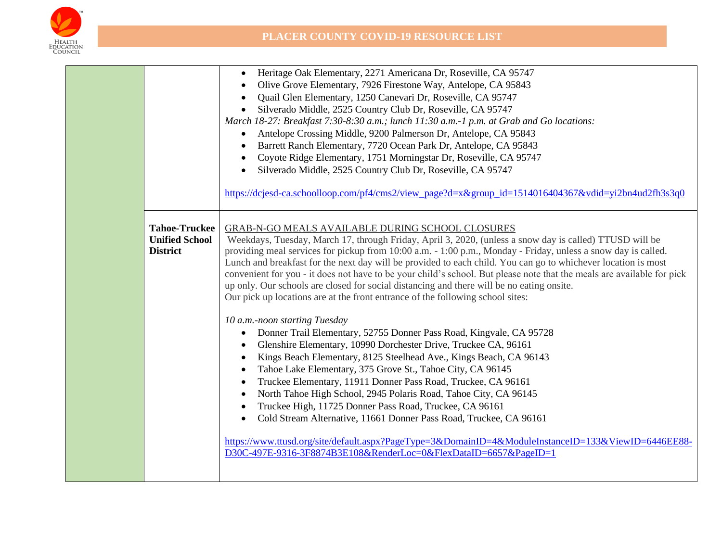

|                                                                  | Heritage Oak Elementary, 2271 Americana Dr, Roseville, CA 95747<br>$\bullet$<br>Olive Grove Elementary, 7926 Firestone Way, Antelope, CA 95843<br>Quail Glen Elementary, 1250 Canevari Dr, Roseville, CA 95747<br>$\bullet$<br>Silverado Middle, 2525 Country Club Dr, Roseville, CA 95747<br>March 18-27: Breakfast 7:30-8:30 a.m.; lunch 11:30 a.m.-1 p.m. at Grab and Go locations:<br>Antelope Crossing Middle, 9200 Palmerson Dr, Antelope, CA 95843<br>Barrett Ranch Elementary, 7720 Ocean Park Dr, Antelope, CA 95843<br>Coyote Ridge Elementary, 1751 Morningstar Dr, Roseville, CA 95747<br>Silverado Middle, 2525 Country Club Dr, Roseville, CA 95747<br>https://dcjesd-ca.schoolloop.com/pf4/cms2/view_page?d=x&group_id=1514016404367&vdid=yi2bn4ud2fh3s3q0                                                                                                                                                                                                                                                                                                                                                                                                                                                                                                                                                                                                                                                                                                                  |
|------------------------------------------------------------------|--------------------------------------------------------------------------------------------------------------------------------------------------------------------------------------------------------------------------------------------------------------------------------------------------------------------------------------------------------------------------------------------------------------------------------------------------------------------------------------------------------------------------------------------------------------------------------------------------------------------------------------------------------------------------------------------------------------------------------------------------------------------------------------------------------------------------------------------------------------------------------------------------------------------------------------------------------------------------------------------------------------------------------------------------------------------------------------------------------------------------------------------------------------------------------------------------------------------------------------------------------------------------------------------------------------------------------------------------------------------------------------------------------------------------------------------------------------------------------------------|
| <b>Tahoe-Truckee</b><br><b>Unified School</b><br><b>District</b> | <b>GRAB-N-GO MEALS AVAILABLE DURING SCHOOL CLOSURES</b><br>Weekdays, Tuesday, March 17, through Friday, April 3, 2020, (unless a snow day is called) TTUSD will be<br>providing meal services for pickup from 10:00 a.m. - 1:00 p.m., Monday - Friday, unless a snow day is called.<br>Lunch and breakfast for the next day will be provided to each child. You can go to whichever location is most<br>convenient for you - it does not have to be your child's school. But please note that the meals are available for pick<br>up only. Our schools are closed for social distancing and there will be no eating onsite.<br>Our pick up locations are at the front entrance of the following school sites:<br>10 a.m.-noon starting Tuesday<br>Donner Trail Elementary, 52755 Donner Pass Road, Kingvale, CA 95728<br>Glenshire Elementary, 10990 Dorchester Drive, Truckee CA, 96161<br>Kings Beach Elementary, 8125 Steelhead Ave., Kings Beach, CA 96143<br>Tahoe Lake Elementary, 375 Grove St., Tahoe City, CA 96145<br>Truckee Elementary, 11911 Donner Pass Road, Truckee, CA 96161<br>North Tahoe High School, 2945 Polaris Road, Tahoe City, CA 96145<br>Truckee High, 11725 Donner Pass Road, Truckee, CA 96161<br>Cold Stream Alternative, 11661 Donner Pass Road, Truckee, CA 96161<br>$\bullet$<br>https://www.ttusd.org/site/default.aspx?PageType=3&DomainID=4&ModuleInstanceID=133&ViewID=6446EE88-<br>D30C-497E-9316-3F8874B3E108&RenderLoc=0&FlexDataID=6657&PageID=1 |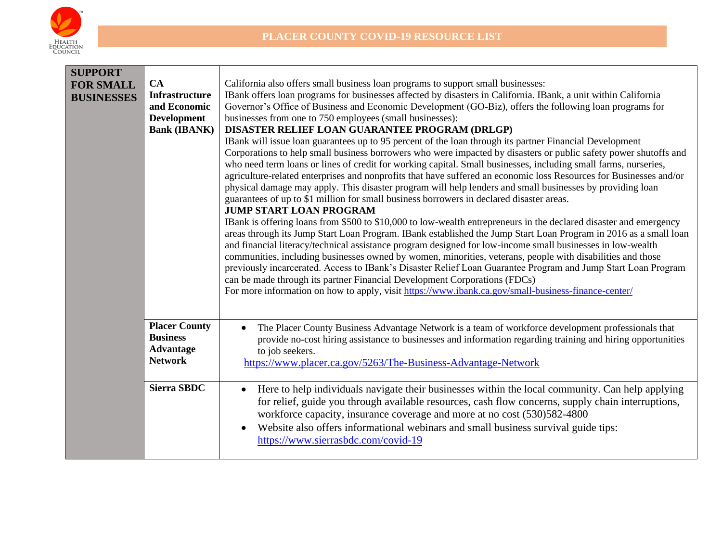

| <b>SUPPORT</b><br><b>FOR SMALL</b><br><b>BUSINESSES</b> | CA<br>Infrastructure<br>and Economic<br><b>Development</b><br><b>Bank (IBANK)</b> | California also offers small business loan programs to support small businesses:<br>IBank offers loan programs for businesses affected by disasters in California. IBank, a unit within California<br>Governor's Office of Business and Economic Development (GO-Biz), offers the following loan programs for<br>businesses from one to 750 employees (small businesses):<br>DISASTER RELIEF LOAN GUARANTEE PROGRAM (DRLGP)<br>IBank will issue loan guarantees up to 95 percent of the loan through its partner Financial Development<br>Corporations to help small business borrowers who were impacted by disasters or public safety power shutoffs and<br>who need term loans or lines of credit for working capital. Small businesses, including small farms, nurseries,<br>agriculture-related enterprises and nonprofits that have suffered an economic loss Resources for Businesses and/or<br>physical damage may apply. This disaster program will help lenders and small businesses by providing loan<br>guarantees of up to \$1 million for small business borrowers in declared disaster areas.<br><b>JUMP START LOAN PROGRAM</b><br>IBank is offering loans from \$500 to \$10,000 to low-wealth entrepreneurs in the declared disaster and emergency<br>areas through its Jump Start Loan Program. IBank established the Jump Start Loan Program in 2016 as a small loan<br>and financial literacy/technical assistance program designed for low-income small businesses in low-wealth<br>communities, including businesses owned by women, minorities, veterans, people with disabilities and those<br>previously incarcerated. Access to IBank's Disaster Relief Loan Guarantee Program and Jump Start Loan Program<br>can be made through its partner Financial Development Corporations (FDCs)<br>For more information on how to apply, visit https://www.ibank.ca.gov/small-business-finance-center/ |
|---------------------------------------------------------|-----------------------------------------------------------------------------------|--------------------------------------------------------------------------------------------------------------------------------------------------------------------------------------------------------------------------------------------------------------------------------------------------------------------------------------------------------------------------------------------------------------------------------------------------------------------------------------------------------------------------------------------------------------------------------------------------------------------------------------------------------------------------------------------------------------------------------------------------------------------------------------------------------------------------------------------------------------------------------------------------------------------------------------------------------------------------------------------------------------------------------------------------------------------------------------------------------------------------------------------------------------------------------------------------------------------------------------------------------------------------------------------------------------------------------------------------------------------------------------------------------------------------------------------------------------------------------------------------------------------------------------------------------------------------------------------------------------------------------------------------------------------------------------------------------------------------------------------------------------------------------------------------------------------------------------------------------------------------------------------------------------------------|
|                                                         | <b>Placer County</b><br><b>Business</b><br>Advantage<br><b>Network</b>            | The Placer County Business Advantage Network is a team of workforce development professionals that<br>$\bullet$<br>provide no-cost hiring assistance to businesses and information regarding training and hiring opportunities<br>to job seekers.<br>https://www.placer.ca.gov/5263/The-Business-Advantage-Network                                                                                                                                                                                                                                                                                                                                                                                                                                                                                                                                                                                                                                                                                                                                                                                                                                                                                                                                                                                                                                                                                                                                                                                                                                                                                                                                                                                                                                                                                                                                                                                                       |
|                                                         | <b>Sierra SBDC</b>                                                                | Here to help individuals navigate their businesses within the local community. Can help applying<br>$\bullet$<br>for relief, guide you through available resources, cash flow concerns, supply chain interruptions,<br>workforce capacity, insurance coverage and more at no cost (530)582-4800<br>Website also offers informational webinars and small business survival guide tips:<br>$\bullet$<br>https://www.sierrasbdc.com/covid-19                                                                                                                                                                                                                                                                                                                                                                                                                                                                                                                                                                                                                                                                                                                                                                                                                                                                                                                                                                                                                                                                                                                                                                                                                                                                                                                                                                                                                                                                                |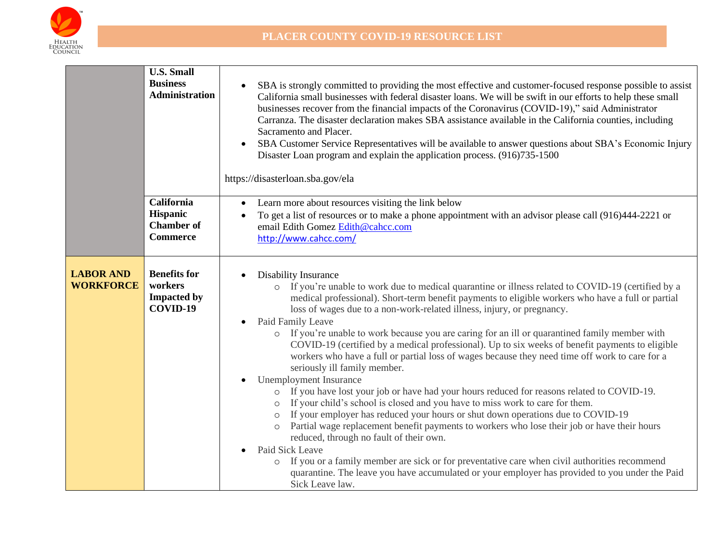

|                                      | <b>U.S. Small</b><br><b>Business</b><br>Administration                       | SBA is strongly committed to providing the most effective and customer-focused response possible to assist<br>California small businesses with federal disaster loans. We will be swift in our efforts to help these small<br>businesses recover from the financial impacts of the Coronavirus (COVID-19)," said Administrator<br>Carranza. The disaster declaration makes SBA assistance available in the California counties, including<br>Sacramento and Placer.<br>SBA Customer Service Representatives will be available to answer questions about SBA's Economic Injury<br>$\bullet$<br>Disaster Loan program and explain the application process. (916)735-1500<br>https://disasterloan.sba.gov/ela                                                                                                                                                                                                                                                                                                                                                                                                                                                                                                                                                                                                                                                                                                                    |
|--------------------------------------|------------------------------------------------------------------------------|-------------------------------------------------------------------------------------------------------------------------------------------------------------------------------------------------------------------------------------------------------------------------------------------------------------------------------------------------------------------------------------------------------------------------------------------------------------------------------------------------------------------------------------------------------------------------------------------------------------------------------------------------------------------------------------------------------------------------------------------------------------------------------------------------------------------------------------------------------------------------------------------------------------------------------------------------------------------------------------------------------------------------------------------------------------------------------------------------------------------------------------------------------------------------------------------------------------------------------------------------------------------------------------------------------------------------------------------------------------------------------------------------------------------------------|
|                                      | <b>California</b><br><b>Hispanic</b><br><b>Chamber</b> of<br><b>Commerce</b> | Learn more about resources visiting the link below<br>$\bullet$<br>To get a list of resources or to make a phone appointment with an advisor please call (916)444-2221 or<br>email Edith Gomez Edith@cahcc.com<br>http://www.cahcc.com/                                                                                                                                                                                                                                                                                                                                                                                                                                                                                                                                                                                                                                                                                                                                                                                                                                                                                                                                                                                                                                                                                                                                                                                       |
| <b>LABOR AND</b><br><b>WORKFORCE</b> | <b>Benefits for</b><br>workers<br><b>Impacted by</b><br>COVID-19             | <b>Disability Insurance</b><br>o If you're unable to work due to medical quarantine or illness related to COVID-19 (certified by a<br>medical professional). Short-term benefit payments to eligible workers who have a full or partial<br>loss of wages due to a non-work-related illness, injury, or pregnancy.<br>Paid Family Leave<br>$\bullet$<br>If you're unable to work because you are caring for an ill or quarantined family member with<br>$\circ$<br>COVID-19 (certified by a medical professional). Up to six weeks of benefit payments to eligible<br>workers who have a full or partial loss of wages because they need time off work to care for a<br>seriously ill family member.<br>Unemployment Insurance<br>o If you have lost your job or have had your hours reduced for reasons related to COVID-19.<br>If your child's school is closed and you have to miss work to care for them.<br>$\circ$<br>If your employer has reduced your hours or shut down operations due to COVID-19<br>$\circ$<br>Partial wage replacement benefit payments to workers who lose their job or have their hours<br>$\circ$<br>reduced, through no fault of their own.<br>Paid Sick Leave<br>If you or a family member are sick or for preventative care when civil authorities recommend<br>$\circ$<br>quarantine. The leave you have accumulated or your employer has provided to you under the Paid<br>Sick Leave law. |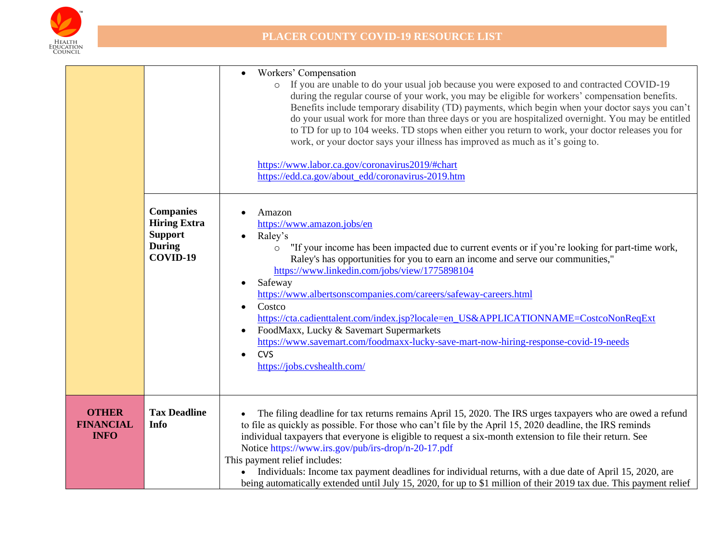

|                                                 |                                                                                        | Workers' Compensation<br>$\bullet$<br>If you are unable to do your usual job because you were exposed to and contracted COVID-19<br>during the regular course of your work, you may be eligible for workers' compensation benefits.<br>Benefits include temporary disability (TD) payments, which begin when your doctor says you can't<br>do your usual work for more than three days or you are hospitalized overnight. You may be entitled<br>to TD for up to 104 weeks. TD stops when either you return to work, your doctor releases you for<br>work, or your doctor says your illness has improved as much as it's going to.<br>https://www.labor.ca.gov/coronavirus2019/#chart<br>https://edd.ca.gov/about_edd/coronavirus-2019.htm |
|-------------------------------------------------|----------------------------------------------------------------------------------------|--------------------------------------------------------------------------------------------------------------------------------------------------------------------------------------------------------------------------------------------------------------------------------------------------------------------------------------------------------------------------------------------------------------------------------------------------------------------------------------------------------------------------------------------------------------------------------------------------------------------------------------------------------------------------------------------------------------------------------------------|
|                                                 | <b>Companies</b><br><b>Hiring Extra</b><br><b>Support</b><br><b>During</b><br>COVID-19 | Amazon<br>https://www.amazon.jobs/en<br>Raley's<br>$\bullet$<br>"If your income has been impacted due to current events or if you're looking for part-time work,<br>$\circ$<br>Raley's has opportunities for you to earn an income and serve our communities,"<br>https://www.linkedin.com/jobs/view/1775898104<br>Safeway<br>$\bullet$<br>https://www.albertsonscompanies.com/careers/safeway-careers.html<br>Costco<br>$\bullet$<br>https://cta.cadienttalent.com/index.jsp?locale=en_US&APPLICATIONNAME=CostcoNonReqExt<br>FoodMaxx, Lucky & Savemart Supermarkets<br>$\bullet$<br>https://www.savemart.com/foodmaxx-lucky-save-mart-now-hiring-response-covid-19-needs<br><b>CVS</b><br>$\bullet$<br>https://jobs.cvshealth.com/       |
| <b>OTHER</b><br><b>FINANCIAL</b><br><b>INFO</b> | <b>Tax Deadline</b><br>Info                                                            | The filing deadline for tax returns remains April 15, 2020. The IRS urges taxpayers who are owed a refund<br>to file as quickly as possible. For those who can't file by the April 15, 2020 deadline, the IRS reminds<br>individual taxpayers that everyone is eligible to request a six-month extension to file their return. See<br>Notice https://www.irs.gov/pub/irs-drop/n-20-17.pdf<br>This payment relief includes:<br>• Individuals: Income tax payment deadlines for individual returns, with a due date of April 15, 2020, are<br>being automatically extended until July 15, 2020, for up to \$1 million of their 2019 tax due. This payment relief                                                                             |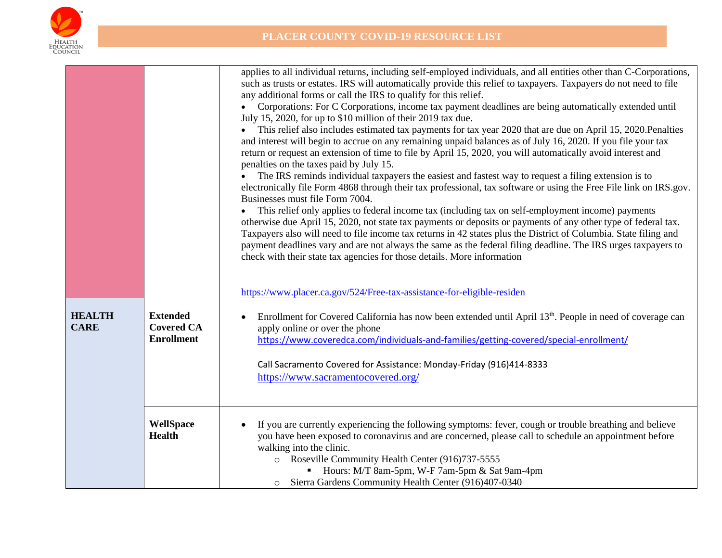

|                              |                                                           | applies to all individual returns, including self-employed individuals, and all entities other than C-Corporations,<br>such as trusts or estates. IRS will automatically provide this relief to taxpayers. Taxpayers do not need to file<br>any additional forms or call the IRS to qualify for this relief.<br>Corporations: For C Corporations, income tax payment deadlines are being automatically extended until<br>July 15, 2020, for up to \$10 million of their 2019 tax due.<br>This relief also includes estimated tax payments for tax year 2020 that are due on April 15, 2020. Penalties<br>and interest will begin to accrue on any remaining unpaid balances as of July 16, 2020. If you file your tax<br>return or request an extension of time to file by April 15, 2020, you will automatically avoid interest and<br>penalties on the taxes paid by July 15.<br>The IRS reminds individual taxpayers the easiest and fastest way to request a filing extension is to<br>electronically file Form 4868 through their tax professional, tax software or using the Free File link on IRS.gov.<br>Businesses must file Form 7004.<br>This relief only applies to federal income tax (including tax on self-employment income) payments<br>otherwise due April 15, 2020, not state tax payments or deposits or payments of any other type of federal tax.<br>Taxpayers also will need to file income tax returns in 42 states plus the District of Columbia. State filing and<br>payment deadlines vary and are not always the same as the federal filing deadline. The IRS urges taxpayers to<br>check with their state tax agencies for those details. More information |
|------------------------------|-----------------------------------------------------------|-----------------------------------------------------------------------------------------------------------------------------------------------------------------------------------------------------------------------------------------------------------------------------------------------------------------------------------------------------------------------------------------------------------------------------------------------------------------------------------------------------------------------------------------------------------------------------------------------------------------------------------------------------------------------------------------------------------------------------------------------------------------------------------------------------------------------------------------------------------------------------------------------------------------------------------------------------------------------------------------------------------------------------------------------------------------------------------------------------------------------------------------------------------------------------------------------------------------------------------------------------------------------------------------------------------------------------------------------------------------------------------------------------------------------------------------------------------------------------------------------------------------------------------------------------------------------------------------------------------------------------------------------------------------------------------------|
|                              |                                                           | https://www.placer.ca.gov/524/Free-tax-assistance-for-eligible-residen                                                                                                                                                                                                                                                                                                                                                                                                                                                                                                                                                                                                                                                                                                                                                                                                                                                                                                                                                                                                                                                                                                                                                                                                                                                                                                                                                                                                                                                                                                                                                                                                                  |
| <b>HEALTH</b><br><b>CARE</b> | <b>Extended</b><br><b>Covered CA</b><br><b>Enrollment</b> | Enrollment for Covered California has now been extended until April 13 <sup>th</sup> . People in need of coverage can<br>apply online or over the phone<br>https://www.coveredca.com/individuals-and-families/getting-covered/special-enrollment/<br>Call Sacramento Covered for Assistance: Monday-Friday (916)414-8333<br>https://www.sacramentocovered.org/                                                                                                                                                                                                                                                                                                                                                                                                                                                                                                                                                                                                                                                                                                                                                                                                                                                                                                                                                                                                                                                                                                                                                                                                                                                                                                                          |
|                              | WellSpace<br><b>Health</b>                                | If you are currently experiencing the following symptoms: fever, cough or trouble breathing and believe<br>you have been exposed to coronavirus and are concerned, please call to schedule an appointment before<br>walking into the clinic.<br>o Roseville Community Health Center (916)737-5555<br>Hours: M/T 8am-5pm, W-F 7am-5pm & Sat 9am-4pm<br>o Sierra Gardens Community Health Center (916)407-0340                                                                                                                                                                                                                                                                                                                                                                                                                                                                                                                                                                                                                                                                                                                                                                                                                                                                                                                                                                                                                                                                                                                                                                                                                                                                            |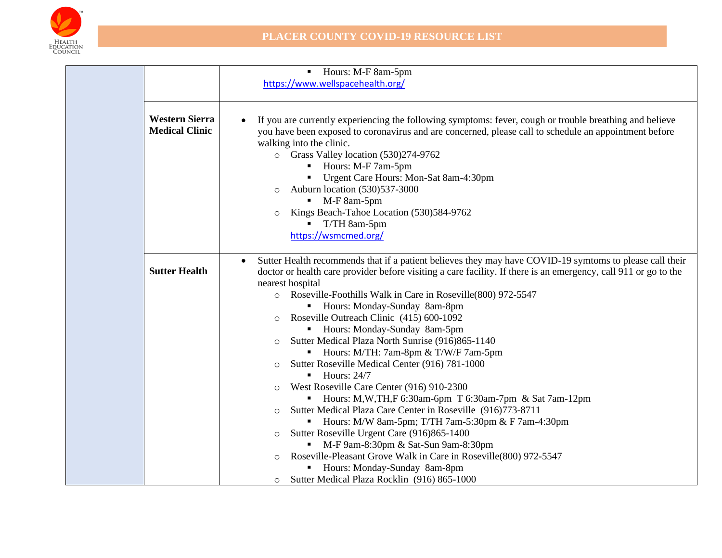

|                                                | Hours: M-F 8am-5pm<br>$\blacksquare$                                                                                                                                                                                                                                                                                                                                                                                                                                                                                                                        |
|------------------------------------------------|-------------------------------------------------------------------------------------------------------------------------------------------------------------------------------------------------------------------------------------------------------------------------------------------------------------------------------------------------------------------------------------------------------------------------------------------------------------------------------------------------------------------------------------------------------------|
|                                                | https://www.wellspacehealth.org/                                                                                                                                                                                                                                                                                                                                                                                                                                                                                                                            |
|                                                |                                                                                                                                                                                                                                                                                                                                                                                                                                                                                                                                                             |
| <b>Western Sierra</b><br><b>Medical Clinic</b> | If you are currently experiencing the following symptoms: fever, cough or trouble breathing and believe<br>you have been exposed to coronavirus and are concerned, please call to schedule an appointment before<br>walking into the clinic.<br>Grass Valley location (530)274-9762<br>$\circ$<br>Hours: M-F 7am-5pm<br>Urgent Care Hours: Mon-Sat 8am-4:30pm<br>Auburn location (530)537-3000<br>$\circ$<br>M-F 8am-5pm<br>$\blacksquare$<br>Kings Beach-Tahoe Location (530)584-9762<br>$\circ$<br>T/TH 8am-5pm<br>$\blacksquare$<br>https://wsmcmed.org/ |
| <b>Sutter Health</b>                           | Sutter Health recommends that if a patient believes they may have COVID-19 symtoms to please call their<br>$\bullet$<br>doctor or health care provider before visiting a care facility. If there is an emergency, call 911 or go to the<br>nearest hospital                                                                                                                                                                                                                                                                                                 |
|                                                | Roseville-Foothills Walk in Care in Roseville (800) 972-5547<br>$\circ$                                                                                                                                                                                                                                                                                                                                                                                                                                                                                     |
|                                                | Hours: Monday-Sunday 8am-8pm                                                                                                                                                                                                                                                                                                                                                                                                                                                                                                                                |
|                                                | Roseville Outreach Clinic (415) 600-1092<br>$\circ$                                                                                                                                                                                                                                                                                                                                                                                                                                                                                                         |
|                                                | Hours: Monday-Sunday 8am-5pm                                                                                                                                                                                                                                                                                                                                                                                                                                                                                                                                |
|                                                | Sutter Medical Plaza North Sunrise (916)865-1140<br>$\circ$                                                                                                                                                                                                                                                                                                                                                                                                                                                                                                 |
|                                                | Hours: M/TH: 7am-8pm & T/W/F 7am-5pm                                                                                                                                                                                                                                                                                                                                                                                                                                                                                                                        |
|                                                | Sutter Roseville Medical Center (916) 781-1000<br>$\circ$                                                                                                                                                                                                                                                                                                                                                                                                                                                                                                   |
|                                                | $\blacksquare$ Hours: 24/7                                                                                                                                                                                                                                                                                                                                                                                                                                                                                                                                  |
|                                                | West Roseville Care Center (916) 910-2300<br>$\circ$                                                                                                                                                                                                                                                                                                                                                                                                                                                                                                        |
|                                                | Hours: M,W,TH,F 6:30am-6pm T 6:30am-7pm & Sat 7am-12pm                                                                                                                                                                                                                                                                                                                                                                                                                                                                                                      |
|                                                | Sutter Medical Plaza Care Center in Roseville (916)773-8711<br>$\circ$                                                                                                                                                                                                                                                                                                                                                                                                                                                                                      |
|                                                | Hours: M/W 8am-5pm; T/TH 7am-5:30pm & F 7am-4:30pm<br>Sutter Roseville Urgent Care (916)865-1400                                                                                                                                                                                                                                                                                                                                                                                                                                                            |
|                                                | $\circ$<br>M-F 9am-8:30pm & Sat-Sun 9am-8:30pm                                                                                                                                                                                                                                                                                                                                                                                                                                                                                                              |
|                                                | Roseville-Pleasant Grove Walk in Care in Roseville(800) 972-5547<br>$\circ$                                                                                                                                                                                                                                                                                                                                                                                                                                                                                 |
|                                                | Hours: Monday-Sunday 8am-8pm                                                                                                                                                                                                                                                                                                                                                                                                                                                                                                                                |
|                                                | o Sutter Medical Plaza Rocklin (916) 865-1000                                                                                                                                                                                                                                                                                                                                                                                                                                                                                                               |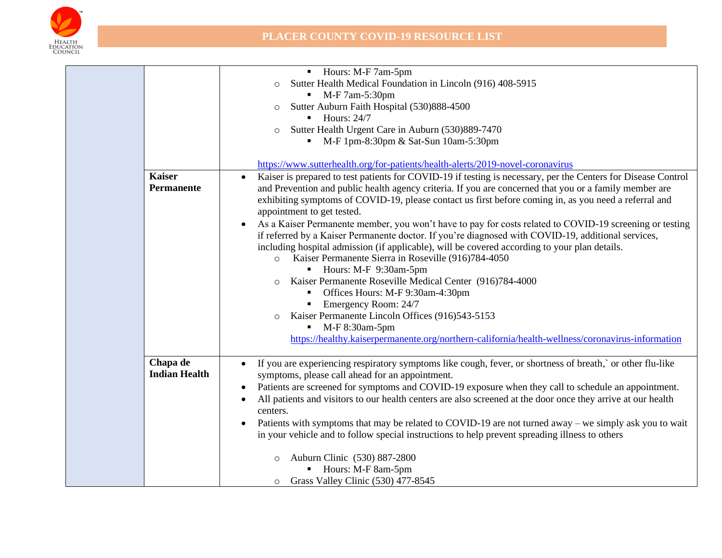

|                                    | Hours: M-F 7am-5pm                                                                                                                                                                                                                                                                                                                                                                                                                                                                                                                                                                                                                          |
|------------------------------------|---------------------------------------------------------------------------------------------------------------------------------------------------------------------------------------------------------------------------------------------------------------------------------------------------------------------------------------------------------------------------------------------------------------------------------------------------------------------------------------------------------------------------------------------------------------------------------------------------------------------------------------------|
|                                    | Sutter Health Medical Foundation in Lincoln (916) 408-5915<br>$\circ$                                                                                                                                                                                                                                                                                                                                                                                                                                                                                                                                                                       |
|                                    | $\blacksquare$ M-F 7am-5:30pm                                                                                                                                                                                                                                                                                                                                                                                                                                                                                                                                                                                                               |
|                                    | Sutter Auburn Faith Hospital (530)888-4500<br>$\circ$                                                                                                                                                                                                                                                                                                                                                                                                                                                                                                                                                                                       |
|                                    | $\blacksquare$ Hours: 24/7                                                                                                                                                                                                                                                                                                                                                                                                                                                                                                                                                                                                                  |
|                                    | Sutter Health Urgent Care in Auburn (530)889-7470<br>$\circ$                                                                                                                                                                                                                                                                                                                                                                                                                                                                                                                                                                                |
|                                    | $\blacksquare$ M-F 1pm-8:30pm & Sat-Sun 10am-5:30pm                                                                                                                                                                                                                                                                                                                                                                                                                                                                                                                                                                                         |
|                                    | https://www.sutterhealth.org/for-patients/health-alerts/2019-novel-coronavirus                                                                                                                                                                                                                                                                                                                                                                                                                                                                                                                                                              |
| <b>Kaiser</b><br><b>Permanente</b> | Kaiser is prepared to test patients for COVID-19 if testing is necessary, per the Centers for Disease Control<br>$\bullet$<br>and Prevention and public health agency criteria. If you are concerned that you or a family member are<br>exhibiting symptoms of COVID-19, please contact us first before coming in, as you need a referral and<br>appointment to get tested.                                                                                                                                                                                                                                                                 |
|                                    | As a Kaiser Permanente member, you won't have to pay for costs related to COVID-19 screening or testing<br>if referred by a Kaiser Permanente doctor. If you're diagnosed with COVID-19, additional services,<br>including hospital admission (if applicable), will be covered according to your plan details.<br>Kaiser Permanente Sierra in Roseville (916)784-4050<br>$\circ$<br>Hours: M-F 9:30am-5pm<br>Kaiser Permanente Roseville Medical Center (916)784-4000<br>$\circ$<br>Offices Hours: M-F 9:30am-4:30pm<br>Emergency Room: 24/7<br>Kaiser Permanente Lincoln Offices (916)543-5153<br>$\circ$<br>$\blacksquare$ M-F 8:30am-5pm |
|                                    | https://healthy.kaiserpermanente.org/northern-california/health-wellness/coronavirus-information                                                                                                                                                                                                                                                                                                                                                                                                                                                                                                                                            |
| Chapa de<br><b>Indian Health</b>   | If you are experiencing respiratory symptoms like cough, fever, or shortness of breath,` or other flu-like<br>symptoms, please call ahead for an appointment.                                                                                                                                                                                                                                                                                                                                                                                                                                                                               |
|                                    | Patients are screened for symptoms and COVID-19 exposure when they call to schedule an appointment.<br>$\bullet$                                                                                                                                                                                                                                                                                                                                                                                                                                                                                                                            |
|                                    | All patients and visitors to our health centers are also screened at the door once they arrive at our health<br>$\bullet$                                                                                                                                                                                                                                                                                                                                                                                                                                                                                                                   |
|                                    | centers.                                                                                                                                                                                                                                                                                                                                                                                                                                                                                                                                                                                                                                    |
|                                    | Patients with symptoms that may be related to COVID-19 are not turned away – we simply ask you to wait<br>in your vehicle and to follow special instructions to help prevent spreading illness to others                                                                                                                                                                                                                                                                                                                                                                                                                                    |
|                                    | Auburn Clinic (530) 887-2800<br>$\circ$                                                                                                                                                                                                                                                                                                                                                                                                                                                                                                                                                                                                     |
|                                    | Hours: M-F 8am-5pm                                                                                                                                                                                                                                                                                                                                                                                                                                                                                                                                                                                                                          |
|                                    | Grass Valley Clinic (530) 477-8545<br>$\circ$                                                                                                                                                                                                                                                                                                                                                                                                                                                                                                                                                                                               |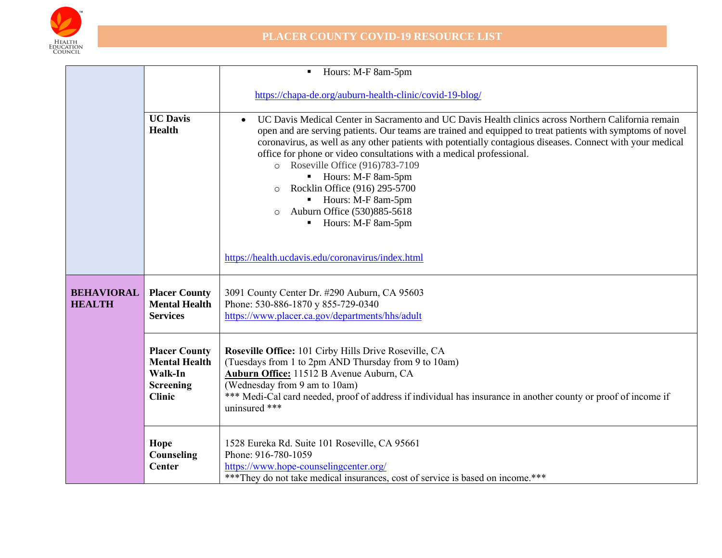

|                                    |                                                                                              | Hours: M-F 8am-5pm<br>$\blacksquare$                                                                                                                                                                                                                                                                                                                                                                                                                                                                                                                                                                                                                                  |
|------------------------------------|----------------------------------------------------------------------------------------------|-----------------------------------------------------------------------------------------------------------------------------------------------------------------------------------------------------------------------------------------------------------------------------------------------------------------------------------------------------------------------------------------------------------------------------------------------------------------------------------------------------------------------------------------------------------------------------------------------------------------------------------------------------------------------|
|                                    |                                                                                              | https://chapa-de.org/auburn-health-clinic/covid-19-blog/                                                                                                                                                                                                                                                                                                                                                                                                                                                                                                                                                                                                              |
|                                    | <b>UC</b> Davis<br><b>Health</b>                                                             | UC Davis Medical Center in Sacramento and UC Davis Health clinics across Northern California remain<br>$\bullet$<br>open and are serving patients. Our teams are trained and equipped to treat patients with symptoms of novel<br>coronavirus, as well as any other patients with potentially contagious diseases. Connect with your medical<br>office for phone or video consultations with a medical professional.<br>o Roseville Office (916)783-7109<br>Hours: M-F 8am-5pm<br>Rocklin Office (916) 295-5700<br>$\circ$<br>Hours: M-F 8am-5pm<br>Auburn Office (530)885-5618<br>$\circ$<br>Hours: M-F 8am-5pm<br>https://health.ucdavis.edu/coronavirus/index.html |
| <b>BEHAVIORAL</b><br><b>HEALTH</b> | <b>Placer County</b><br><b>Mental Health</b><br><b>Services</b>                              | 3091 County Center Dr. #290 Auburn, CA 95603<br>Phone: 530-886-1870 y 855-729-0340<br>https://www.placer.ca.gov/departments/hhs/adult                                                                                                                                                                                                                                                                                                                                                                                                                                                                                                                                 |
|                                    | <b>Placer County</b><br><b>Mental Health</b><br>Walk-In<br><b>Screening</b><br><b>Clinic</b> | Roseville Office: 101 Cirby Hills Drive Roseville, CA<br>(Tuesdays from 1 to 2pm AND Thursday from 9 to 10am)<br>Auburn Office: 11512 B Avenue Auburn, CA<br>(Wednesday from 9 am to 10am)<br>*** Medi-Cal card needed, proof of address if individual has insurance in another county or proof of income if<br>uninsured ***                                                                                                                                                                                                                                                                                                                                         |
|                                    | Hope<br>Counseling<br><b>Center</b>                                                          | 1528 Eureka Rd. Suite 101 Roseville, CA 95661<br>Phone: 916-780-1059<br>https://www.hope-counselingcenter.org/<br>*** They do not take medical insurances, cost of service is based on income.***                                                                                                                                                                                                                                                                                                                                                                                                                                                                     |